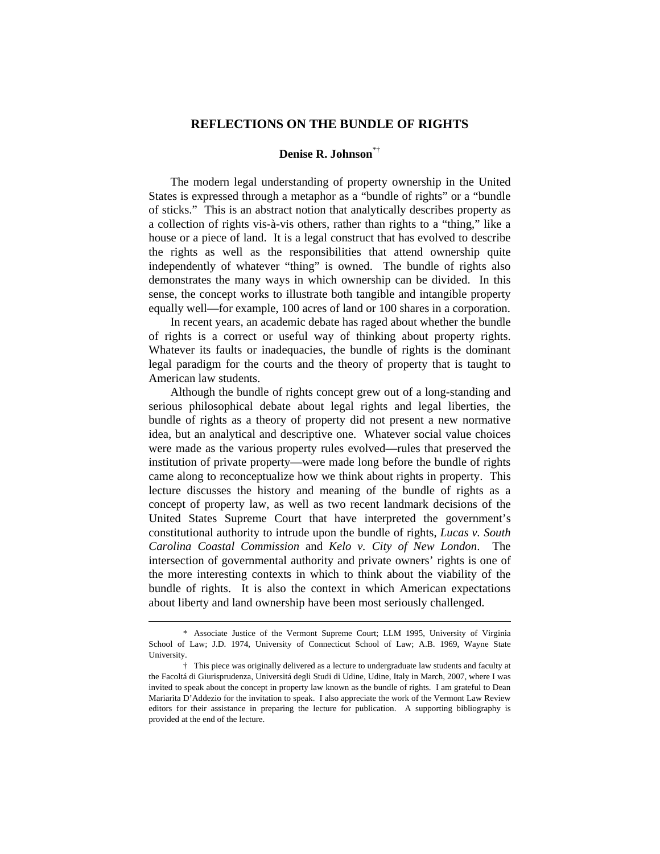## **REFLECTIONS ON THE BUNDLE OF RIGHTS**

## **Denise R. Johnson**\*†

 The modern legal understanding of property ownership in the United States is expressed through a metaphor as a "bundle of rights" or a "bundle of sticks." This is an abstract notion that analytically describes property as a collection of rights vis-à-vis others, rather than rights to a "thing," like a house or a piece of land. It is a legal construct that has evolved to describe the rights as well as the responsibilities that attend ownership quite independently of whatever "thing" is owned. The bundle of rights also demonstrates the many ways in which ownership can be divided. In this sense, the concept works to illustrate both tangible and intangible property equally well—for example, 100 acres of land or 100 shares in a corporation.

 In recent years, an academic debate has raged about whether the bundle of rights is a correct or useful way of thinking about property rights. Whatever its faults or inadequacies, the bundle of rights is the dominant legal paradigm for the courts and the theory of property that is taught to American law students.

 Although the bundle of rights concept grew out of a long-standing and serious philosophical debate about legal rights and legal liberties, the bundle of rights as a theory of property did not present a new normative idea, but an analytical and descriptive one. Whatever social value choices were made as the various property rules evolved—rules that preserved the institution of private property—were made long before the bundle of rights came along to reconceptualize how we think about rights in property. This lecture discusses the history and meaning of the bundle of rights as a concept of property law, as well as two recent landmark decisions of the United States Supreme Court that have interpreted the government's constitutional authority to intrude upon the bundle of rights, *Lucas v. South Carolina Coastal Commission* and *Kelo v. City of New London*. The intersection of governmental authority and private owners' rights is one of the more interesting contexts in which to think about the viability of the bundle of rights. It is also the context in which American expectations about liberty and land ownership have been most seriously challenged.

 $\overline{a}$ 

 <sup>\*</sup> Associate Justice of the Vermont Supreme Court; LLM 1995, University of Virginia School of Law; J.D. 1974, University of Connecticut School of Law; A.B. 1969, Wayne State University.

 <sup>†</sup> This piece was originally delivered as a lecture to undergraduate law students and faculty at the Facoltá di Giurisprudenza, Universitá degli Studi di Udine, Udine, Italy in March, 2007, where I was invited to speak about the concept in property law known as the bundle of rights. I am grateful to Dean Mariarita D'Addezio for the invitation to speak. I also appreciate the work of the Vermont Law Review editors for their assistance in preparing the lecture for publication. A supporting bibliography is provided at the end of the lecture.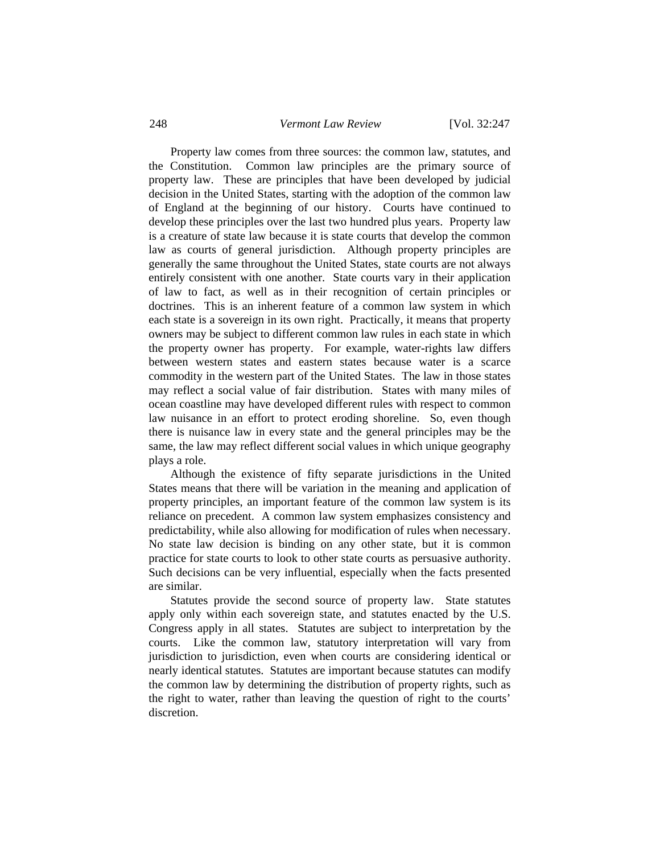Property law comes from three sources: the common law, statutes, and the Constitution. Common law principles are the primary source of property law. These are principles that have been developed by judicial decision in the United States, starting with the adoption of the common law of England at the beginning of our history. Courts have continued to develop these principles over the last two hundred plus years. Property law is a creature of state law because it is state courts that develop the common law as courts of general jurisdiction. Although property principles are generally the same throughout the United States, state courts are not always entirely consistent with one another. State courts vary in their application of law to fact, as well as in their recognition of certain principles or doctrines. This is an inherent feature of a common law system in which each state is a sovereign in its own right. Practically, it means that property owners may be subject to different common law rules in each state in which the property owner has property. For example, water-rights law differs between western states and eastern states because water is a scarce commodity in the western part of the United States. The law in those states may reflect a social value of fair distribution. States with many miles of ocean coastline may have developed different rules with respect to common law nuisance in an effort to protect eroding shoreline. So, even though there is nuisance law in every state and the general principles may be the same, the law may reflect different social values in which unique geography plays a role.

 Although the existence of fifty separate jurisdictions in the United States means that there will be variation in the meaning and application of property principles, an important feature of the common law system is its reliance on precedent. A common law system emphasizes consistency and predictability, while also allowing for modification of rules when necessary. No state law decision is binding on any other state, but it is common practice for state courts to look to other state courts as persuasive authority. Such decisions can be very influential, especially when the facts presented are similar.

 Statutes provide the second source of property law. State statutes apply only within each sovereign state, and statutes enacted by the U.S. Congress apply in all states. Statutes are subject to interpretation by the courts. Like the common law, statutory interpretation will vary from jurisdiction to jurisdiction, even when courts are considering identical or nearly identical statutes. Statutes are important because statutes can modify the common law by determining the distribution of property rights, such as the right to water, rather than leaving the question of right to the courts' discretion.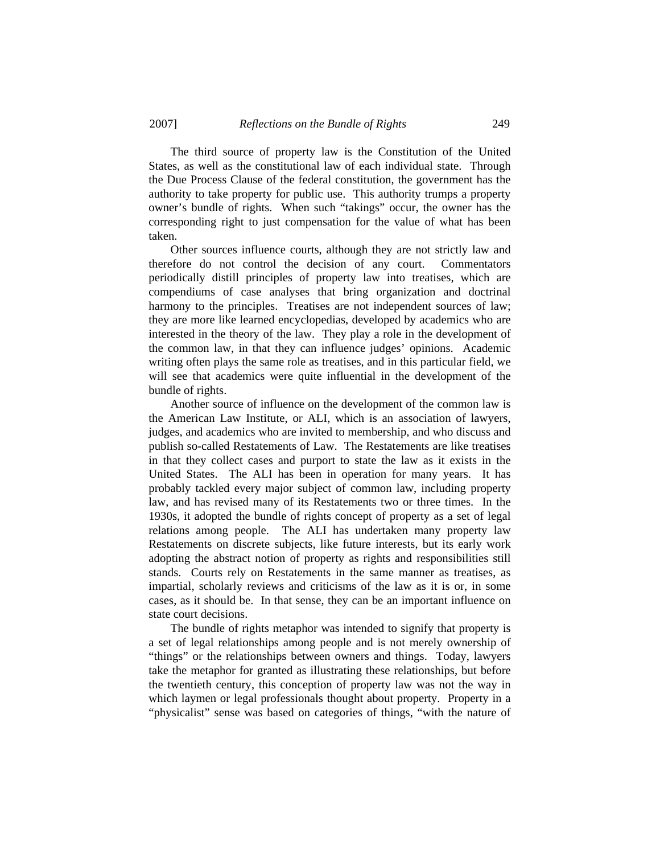The third source of property law is the Constitution of the United States, as well as the constitutional law of each individual state. Through the Due Process Clause of the federal constitution, the government has the authority to take property for public use. This authority trumps a property owner's bundle of rights. When such "takings" occur, the owner has the corresponding right to just compensation for the value of what has been taken.

 Other sources influence courts, although they are not strictly law and therefore do not control the decision of any court. Commentators periodically distill principles of property law into treatises, which are compendiums of case analyses that bring organization and doctrinal harmony to the principles. Treatises are not independent sources of law; they are more like learned encyclopedias, developed by academics who are interested in the theory of the law. They play a role in the development of the common law, in that they can influence judges' opinions. Academic writing often plays the same role as treatises, and in this particular field, we will see that academics were quite influential in the development of the bundle of rights.

 Another source of influence on the development of the common law is the American Law Institute, or ALI, which is an association of lawyers, judges, and academics who are invited to membership, and who discuss and publish so-called Restatements of Law. The Restatements are like treatises in that they collect cases and purport to state the law as it exists in the United States. The ALI has been in operation for many years. It has probably tackled every major subject of common law, including property law, and has revised many of its Restatements two or three times. In the 1930s, it adopted the bundle of rights concept of property as a set of legal relations among people. The ALI has undertaken many property law Restatements on discrete subjects, like future interests, but its early work adopting the abstract notion of property as rights and responsibilities still stands. Courts rely on Restatements in the same manner as treatises, as impartial, scholarly reviews and criticisms of the law as it is or, in some cases, as it should be. In that sense, they can be an important influence on state court decisions.

 The bundle of rights metaphor was intended to signify that property is a set of legal relationships among people and is not merely ownership of "things" or the relationships between owners and things. Today, lawyers take the metaphor for granted as illustrating these relationships, but before the twentieth century, this conception of property law was not the way in which laymen or legal professionals thought about property. Property in a "physicalist" sense was based on categories of things, "with the nature of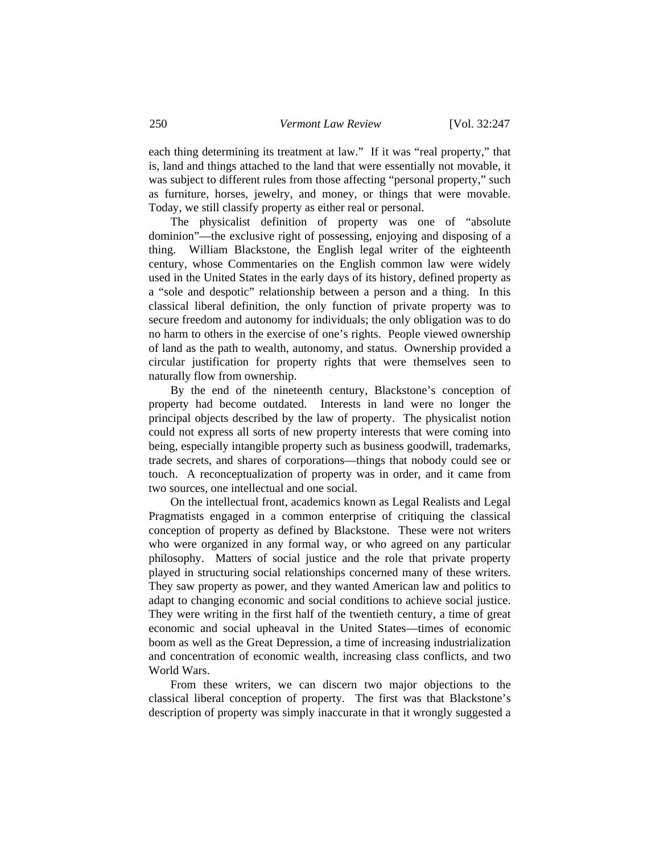each thing determining its treatment at law." If it was "real property," that is, land and things attached to the land that were essentially not movable, it was subject to different rules from those affecting "personal property," such as furniture, horses, jewelry, and money, or things that were movable. Today, we still classify property as either real or personal.

 The physicalist definition of property was one of "absolute dominion"—the exclusive right of possessing, enjoying and disposing of a thing. William Blackstone, the English legal writer of the eighteenth century, whose Commentaries on the English common law were widely used in the United States in the early days of its history, defined property as a "sole and despotic" relationship between a person and a thing. In this classical liberal definition, the only function of private property was to secure freedom and autonomy for individuals; the only obligation was to do no harm to others in the exercise of one's rights. People viewed ownership of land as the path to wealth, autonomy, and status. Ownership provided a circular justification for property rights that were themselves seen to naturally flow from ownership.

 By the end of the nineteenth century, Blackstone's conception of property had become outdated. Interests in land were no longer the principal objects described by the law of property. The physicalist notion could not express all sorts of new property interests that were coming into being, especially intangible property such as business goodwill, trademarks, trade secrets, and shares of corporations—things that nobody could see or touch. A reconceptualization of property was in order, and it came from two sources, one intellectual and one social.

 On the intellectual front, academics known as Legal Realists and Legal Pragmatists engaged in a common enterprise of critiquing the classical conception of property as defined by Blackstone. These were not writers who were organized in any formal way, or who agreed on any particular philosophy. Matters of social justice and the role that private property played in structuring social relationships concerned many of these writers. They saw property as power, and they wanted American law and politics to adapt to changing economic and social conditions to achieve social justice. They were writing in the first half of the twentieth century, a time of great economic and social upheaval in the United States—times of economic boom as well as the Great Depression, a time of increasing industrialization and concentration of economic wealth, increasing class conflicts, and two World Wars.

 From these writers, we can discern two major objections to the classical liberal conception of property. The first was that Blackstone's description of property was simply inaccurate in that it wrongly suggested a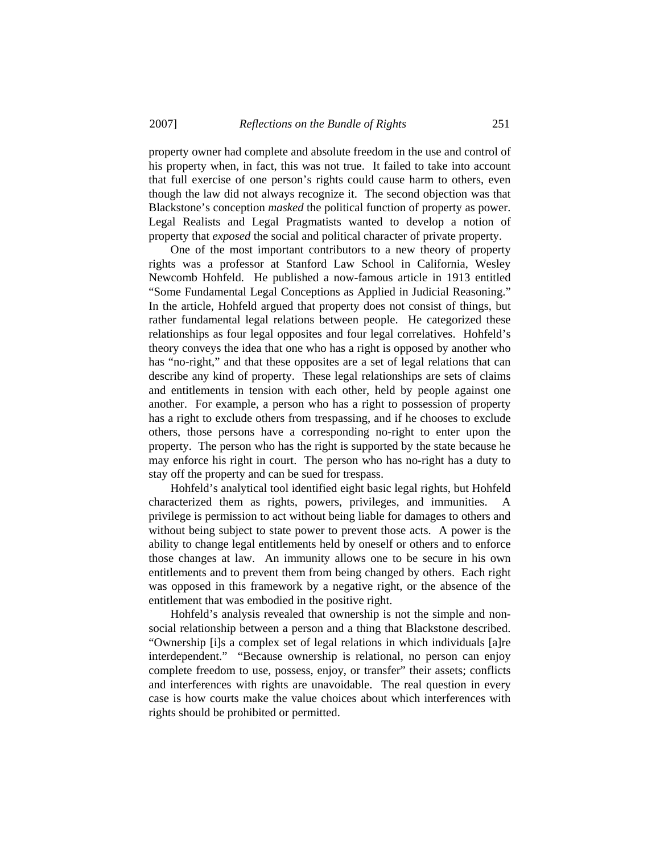property owner had complete and absolute freedom in the use and control of his property when, in fact, this was not true. It failed to take into account that full exercise of one person's rights could cause harm to others, even though the law did not always recognize it. The second objection was that Blackstone's conception *masked* the political function of property as power. Legal Realists and Legal Pragmatists wanted to develop a notion of property that *exposed* the social and political character of private property.

 One of the most important contributors to a new theory of property rights was a professor at Stanford Law School in California, Wesley Newcomb Hohfeld. He published a now-famous article in 1913 entitled "Some Fundamental Legal Conceptions as Applied in Judicial Reasoning." In the article, Hohfeld argued that property does not consist of things, but rather fundamental legal relations between people. He categorized these relationships as four legal opposites and four legal correlatives. Hohfeld's theory conveys the idea that one who has a right is opposed by another who has "no-right," and that these opposites are a set of legal relations that can describe any kind of property. These legal relationships are sets of claims and entitlements in tension with each other, held by people against one another. For example, a person who has a right to possession of property has a right to exclude others from trespassing, and if he chooses to exclude others, those persons have a corresponding no-right to enter upon the property. The person who has the right is supported by the state because he may enforce his right in court. The person who has no-right has a duty to stay off the property and can be sued for trespass.

 Hohfeld's analytical tool identified eight basic legal rights, but Hohfeld characterized them as rights, powers, privileges, and immunities. A privilege is permission to act without being liable for damages to others and without being subject to state power to prevent those acts. A power is the ability to change legal entitlements held by oneself or others and to enforce those changes at law. An immunity allows one to be secure in his own entitlements and to prevent them from being changed by others. Each right was opposed in this framework by a negative right, or the absence of the entitlement that was embodied in the positive right.

 Hohfeld's analysis revealed that ownership is not the simple and nonsocial relationship between a person and a thing that Blackstone described. "Ownership [i]s a complex set of legal relations in which individuals [a]re interdependent." "Because ownership is relational, no person can enjoy complete freedom to use, possess, enjoy, or transfer" their assets; conflicts and interferences with rights are unavoidable. The real question in every case is how courts make the value choices about which interferences with rights should be prohibited or permitted.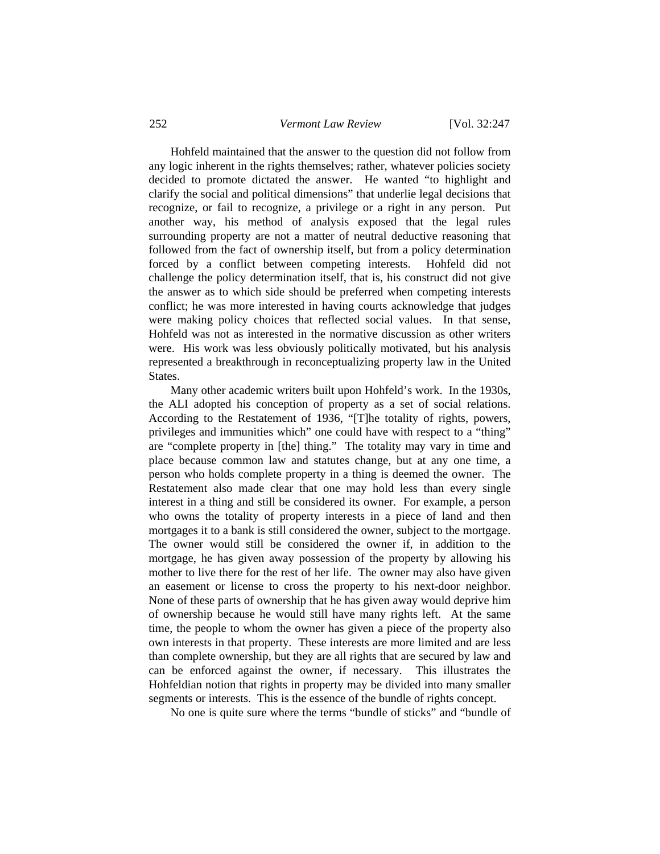Hohfeld maintained that the answer to the question did not follow from any logic inherent in the rights themselves; rather, whatever policies society decided to promote dictated the answer. He wanted "to highlight and clarify the social and political dimensions" that underlie legal decisions that recognize, or fail to recognize, a privilege or a right in any person. Put another way, his method of analysis exposed that the legal rules surrounding property are not a matter of neutral deductive reasoning that followed from the fact of ownership itself, but from a policy determination forced by a conflict between competing interests. Hohfeld did not challenge the policy determination itself, that is, his construct did not give the answer as to which side should be preferred when competing interests conflict; he was more interested in having courts acknowledge that judges were making policy choices that reflected social values. In that sense, Hohfeld was not as interested in the normative discussion as other writers were. His work was less obviously politically motivated, but his analysis represented a breakthrough in reconceptualizing property law in the United States.

 Many other academic writers built upon Hohfeld's work. In the 1930s, the ALI adopted his conception of property as a set of social relations. According to the Restatement of 1936, "[T]he totality of rights, powers, privileges and immunities which" one could have with respect to a "thing" are "complete property in [the] thing." The totality may vary in time and place because common law and statutes change, but at any one time, a person who holds complete property in a thing is deemed the owner. The Restatement also made clear that one may hold less than every single interest in a thing and still be considered its owner. For example, a person who owns the totality of property interests in a piece of land and then mortgages it to a bank is still considered the owner, subject to the mortgage. The owner would still be considered the owner if, in addition to the mortgage, he has given away possession of the property by allowing his mother to live there for the rest of her life. The owner may also have given an easement or license to cross the property to his next-door neighbor. None of these parts of ownership that he has given away would deprive him of ownership because he would still have many rights left. At the same time, the people to whom the owner has given a piece of the property also own interests in that property. These interests are more limited and are less than complete ownership, but they are all rights that are secured by law and can be enforced against the owner, if necessary. This illustrates the Hohfeldian notion that rights in property may be divided into many smaller segments or interests. This is the essence of the bundle of rights concept.

No one is quite sure where the terms "bundle of sticks" and "bundle of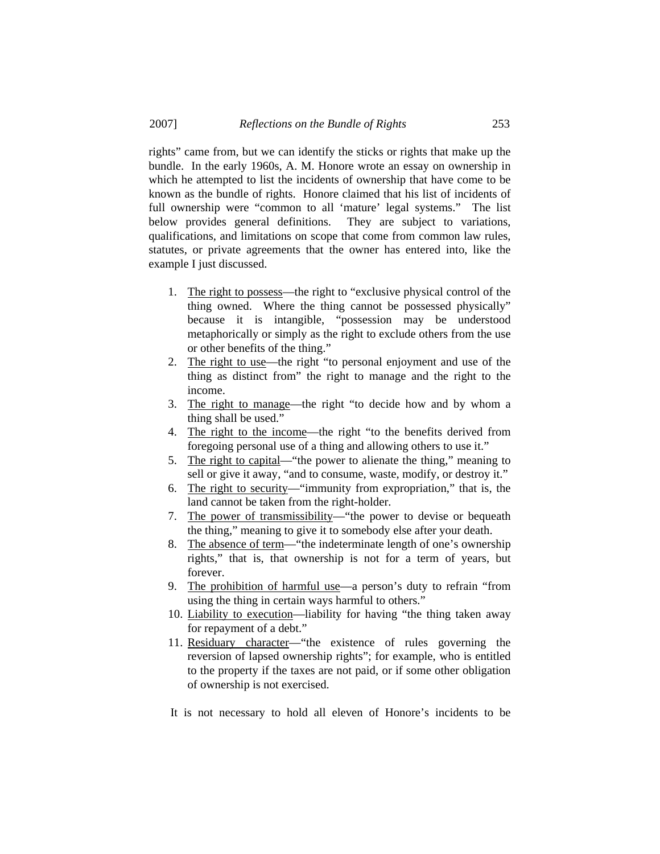rights" came from, but we can identify the sticks or rights that make up the bundle. In the early 1960s, A. M. Honore wrote an essay on ownership in which he attempted to list the incidents of ownership that have come to be known as the bundle of rights. Honore claimed that his list of incidents of full ownership were "common to all 'mature' legal systems." The list below provides general definitions. They are subject to variations, qualifications, and limitations on scope that come from common law rules, statutes, or private agreements that the owner has entered into, like the example I just discussed.

- 1. The right to possess—the right to "exclusive physical control of the thing owned. Where the thing cannot be possessed physically" because it is intangible, "possession may be understood metaphorically or simply as the right to exclude others from the use or other benefits of the thing."
- 2. The right to use—the right "to personal enjoyment and use of the thing as distinct from" the right to manage and the right to the income.
- 3. The right to manage—the right "to decide how and by whom a thing shall be used."
- 4. The right to the income—the right "to the benefits derived from foregoing personal use of a thing and allowing others to use it."
- 5. The right to capital—"the power to alienate the thing," meaning to sell or give it away, "and to consume, waste, modify, or destroy it."
- 6. The right to security—"immunity from expropriation," that is, the land cannot be taken from the right-holder.
- 7. The power of transmissibility—"the power to devise or bequeath the thing," meaning to give it to somebody else after your death.
- 8. The absence of term—"the indeterminate length of one's ownership rights," that is, that ownership is not for a term of years, but forever.
- 9. The prohibition of harmful use—a person's duty to refrain "from using the thing in certain ways harmful to others."
- 10. Liability to execution—liability for having "the thing taken away for repayment of a debt."
- 11. Residuary character—"the existence of rules governing the reversion of lapsed ownership rights"; for example, who is entitled to the property if the taxes are not paid, or if some other obligation of ownership is not exercised.

It is not necessary to hold all eleven of Honore's incidents to be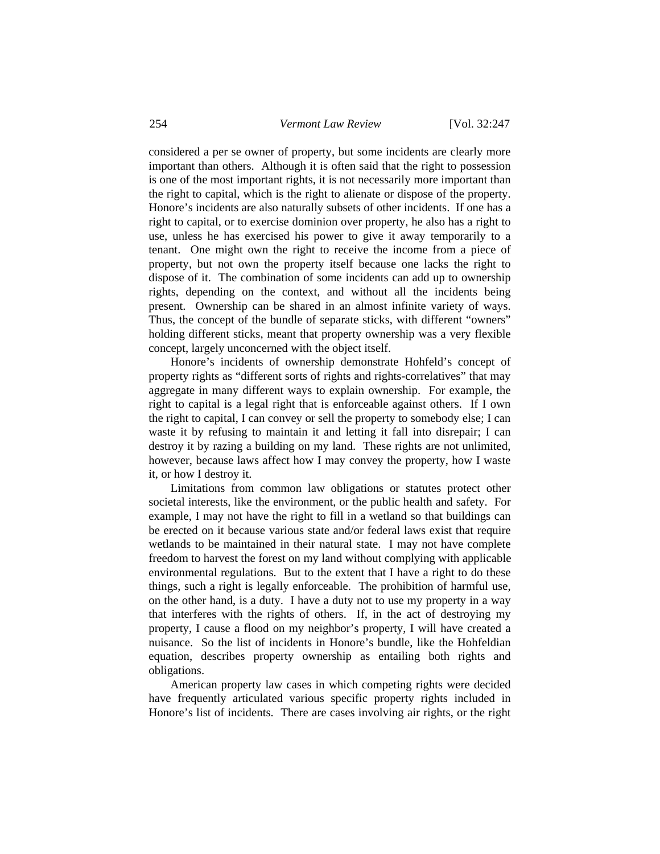considered a per se owner of property, but some incidents are clearly more important than others. Although it is often said that the right to possession is one of the most important rights, it is not necessarily more important than the right to capital, which is the right to alienate or dispose of the property. Honore's incidents are also naturally subsets of other incidents. If one has a right to capital, or to exercise dominion over property, he also has a right to use, unless he has exercised his power to give it away temporarily to a tenant. One might own the right to receive the income from a piece of property, but not own the property itself because one lacks the right to dispose of it. The combination of some incidents can add up to ownership rights, depending on the context, and without all the incidents being present. Ownership can be shared in an almost infinite variety of ways. Thus, the concept of the bundle of separate sticks, with different "owners" holding different sticks, meant that property ownership was a very flexible concept, largely unconcerned with the object itself.

 Honore's incidents of ownership demonstrate Hohfeld's concept of property rights as "different sorts of rights and rights-correlatives" that may aggregate in many different ways to explain ownership. For example, the right to capital is a legal right that is enforceable against others. If I own the right to capital, I can convey or sell the property to somebody else; I can waste it by refusing to maintain it and letting it fall into disrepair; I can destroy it by razing a building on my land. These rights are not unlimited, however, because laws affect how I may convey the property, how I waste it, or how I destroy it.

 Limitations from common law obligations or statutes protect other societal interests, like the environment, or the public health and safety. For example, I may not have the right to fill in a wetland so that buildings can be erected on it because various state and/or federal laws exist that require wetlands to be maintained in their natural state. I may not have complete freedom to harvest the forest on my land without complying with applicable environmental regulations. But to the extent that I have a right to do these things, such a right is legally enforceable. The prohibition of harmful use, on the other hand, is a duty. I have a duty not to use my property in a way that interferes with the rights of others. If, in the act of destroying my property, I cause a flood on my neighbor's property, I will have created a nuisance. So the list of incidents in Honore's bundle, like the Hohfeldian equation, describes property ownership as entailing both rights and obligations.

 American property law cases in which competing rights were decided have frequently articulated various specific property rights included in Honore's list of incidents. There are cases involving air rights, or the right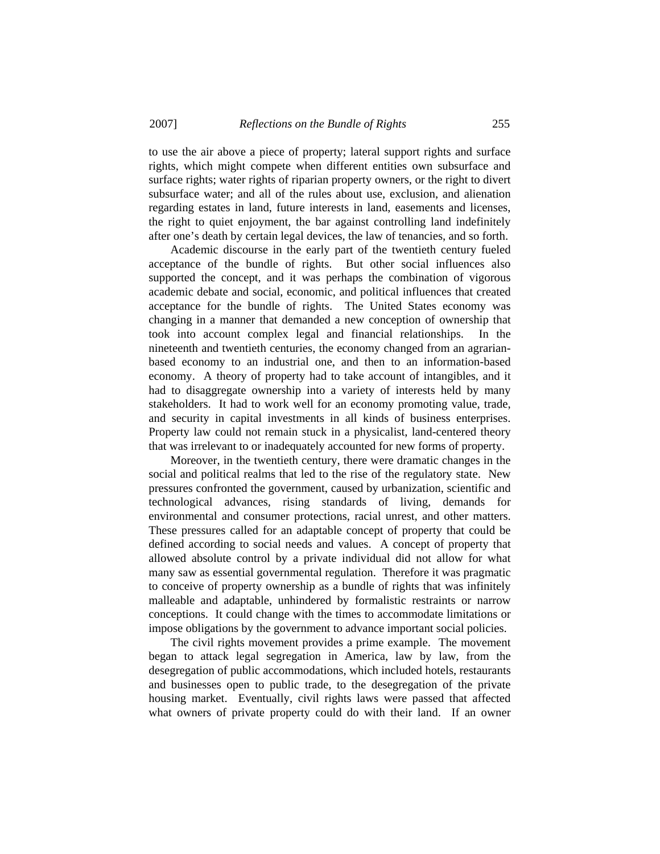to use the air above a piece of property; lateral support rights and surface rights, which might compete when different entities own subsurface and surface rights; water rights of riparian property owners, or the right to divert subsurface water; and all of the rules about use, exclusion, and alienation regarding estates in land, future interests in land, easements and licenses, the right to quiet enjoyment, the bar against controlling land indefinitely after one's death by certain legal devices, the law of tenancies, and so forth.

 Academic discourse in the early part of the twentieth century fueled acceptance of the bundle of rights. But other social influences also supported the concept, and it was perhaps the combination of vigorous academic debate and social, economic, and political influences that created acceptance for the bundle of rights. The United States economy was changing in a manner that demanded a new conception of ownership that took into account complex legal and financial relationships. In the nineteenth and twentieth centuries, the economy changed from an agrarianbased economy to an industrial one, and then to an information-based economy. A theory of property had to take account of intangibles, and it had to disaggregate ownership into a variety of interests held by many stakeholders. It had to work well for an economy promoting value, trade, and security in capital investments in all kinds of business enterprises. Property law could not remain stuck in a physicalist, land-centered theory that was irrelevant to or inadequately accounted for new forms of property.

 Moreover, in the twentieth century, there were dramatic changes in the social and political realms that led to the rise of the regulatory state. New pressures confronted the government, caused by urbanization, scientific and technological advances, rising standards of living, demands for environmental and consumer protections, racial unrest, and other matters. These pressures called for an adaptable concept of property that could be defined according to social needs and values. A concept of property that allowed absolute control by a private individual did not allow for what many saw as essential governmental regulation. Therefore it was pragmatic to conceive of property ownership as a bundle of rights that was infinitely malleable and adaptable, unhindered by formalistic restraints or narrow conceptions. It could change with the times to accommodate limitations or impose obligations by the government to advance important social policies.

 The civil rights movement provides a prime example. The movement began to attack legal segregation in America, law by law, from the desegregation of public accommodations, which included hotels, restaurants and businesses open to public trade, to the desegregation of the private housing market. Eventually, civil rights laws were passed that affected what owners of private property could do with their land. If an owner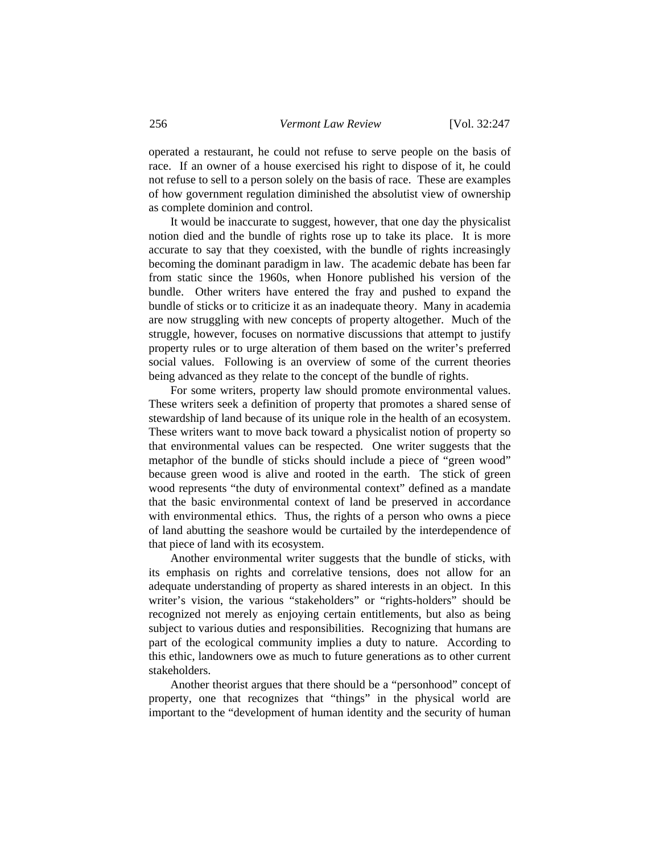operated a restaurant, he could not refuse to serve people on the basis of race. If an owner of a house exercised his right to dispose of it, he could not refuse to sell to a person solely on the basis of race. These are examples of how government regulation diminished the absolutist view of ownership as complete dominion and control.

 It would be inaccurate to suggest, however, that one day the physicalist notion died and the bundle of rights rose up to take its place. It is more accurate to say that they coexisted, with the bundle of rights increasingly becoming the dominant paradigm in law. The academic debate has been far from static since the 1960s, when Honore published his version of the bundle. Other writers have entered the fray and pushed to expand the bundle of sticks or to criticize it as an inadequate theory. Many in academia are now struggling with new concepts of property altogether. Much of the struggle, however, focuses on normative discussions that attempt to justify property rules or to urge alteration of them based on the writer's preferred social values. Following is an overview of some of the current theories being advanced as they relate to the concept of the bundle of rights.

 For some writers, property law should promote environmental values. These writers seek a definition of property that promotes a shared sense of stewardship of land because of its unique role in the health of an ecosystem. These writers want to move back toward a physicalist notion of property so that environmental values can be respected. One writer suggests that the metaphor of the bundle of sticks should include a piece of "green wood" because green wood is alive and rooted in the earth. The stick of green wood represents "the duty of environmental context" defined as a mandate that the basic environmental context of land be preserved in accordance with environmental ethics. Thus, the rights of a person who owns a piece of land abutting the seashore would be curtailed by the interdependence of that piece of land with its ecosystem.

 Another environmental writer suggests that the bundle of sticks, with its emphasis on rights and correlative tensions, does not allow for an adequate understanding of property as shared interests in an object. In this writer's vision, the various "stakeholders" or "rights-holders" should be recognized not merely as enjoying certain entitlements, but also as being subject to various duties and responsibilities. Recognizing that humans are part of the ecological community implies a duty to nature. According to this ethic, landowners owe as much to future generations as to other current stakeholders.

 Another theorist argues that there should be a "personhood" concept of property, one that recognizes that "things" in the physical world are important to the "development of human identity and the security of human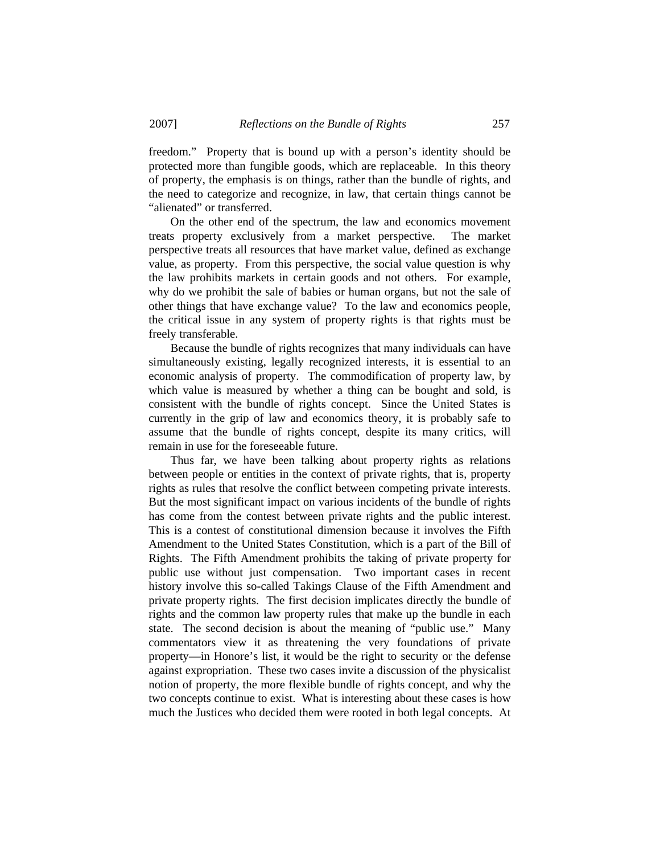freedom." Property that is bound up with a person's identity should be protected more than fungible goods, which are replaceable. In this theory of property, the emphasis is on things, rather than the bundle of rights, and the need to categorize and recognize, in law, that certain things cannot be "alienated" or transferred.

 On the other end of the spectrum, the law and economics movement treats property exclusively from a market perspective. The market perspective treats all resources that have market value, defined as exchange value, as property. From this perspective, the social value question is why the law prohibits markets in certain goods and not others. For example, why do we prohibit the sale of babies or human organs, but not the sale of other things that have exchange value? To the law and economics people, the critical issue in any system of property rights is that rights must be freely transferable.

 Because the bundle of rights recognizes that many individuals can have simultaneously existing, legally recognized interests, it is essential to an economic analysis of property. The commodification of property law, by which value is measured by whether a thing can be bought and sold, is consistent with the bundle of rights concept. Since the United States is currently in the grip of law and economics theory, it is probably safe to assume that the bundle of rights concept, despite its many critics, will remain in use for the foreseeable future.

 Thus far, we have been talking about property rights as relations between people or entities in the context of private rights, that is, property rights as rules that resolve the conflict between competing private interests. But the most significant impact on various incidents of the bundle of rights has come from the contest between private rights and the public interest. This is a contest of constitutional dimension because it involves the Fifth Amendment to the United States Constitution, which is a part of the Bill of Rights. The Fifth Amendment prohibits the taking of private property for public use without just compensation. Two important cases in recent history involve this so-called Takings Clause of the Fifth Amendment and private property rights. The first decision implicates directly the bundle of rights and the common law property rules that make up the bundle in each state. The second decision is about the meaning of "public use." Many commentators view it as threatening the very foundations of private property—in Honore's list, it would be the right to security or the defense against expropriation. These two cases invite a discussion of the physicalist notion of property, the more flexible bundle of rights concept, and why the two concepts continue to exist. What is interesting about these cases is how much the Justices who decided them were rooted in both legal concepts. At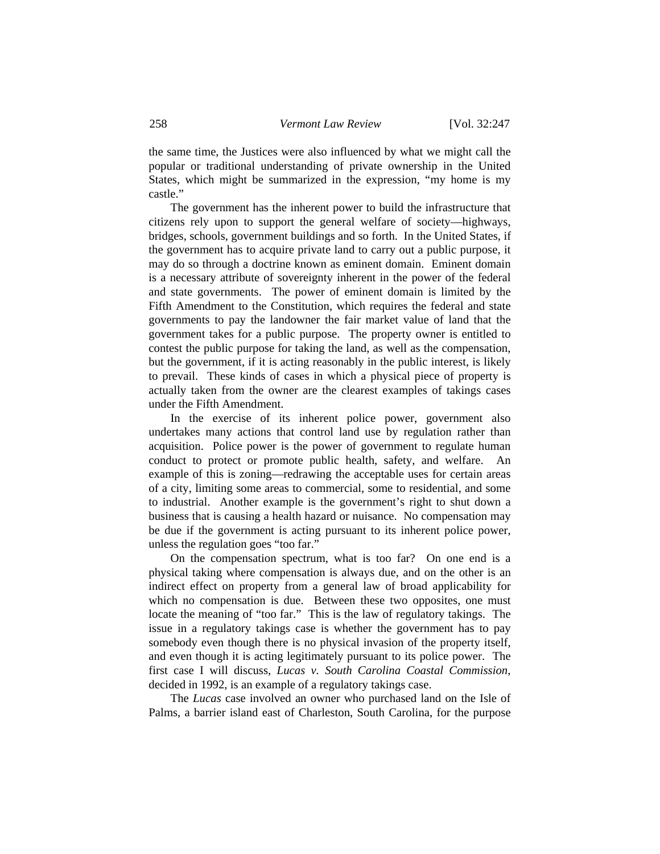the same time, the Justices were also influenced by what we might call the popular or traditional understanding of private ownership in the United States, which might be summarized in the expression, "my home is my castle."

 The government has the inherent power to build the infrastructure that citizens rely upon to support the general welfare of society—highways, bridges, schools, government buildings and so forth. In the United States, if the government has to acquire private land to carry out a public purpose, it may do so through a doctrine known as eminent domain. Eminent domain is a necessary attribute of sovereignty inherent in the power of the federal and state governments. The power of eminent domain is limited by the Fifth Amendment to the Constitution, which requires the federal and state governments to pay the landowner the fair market value of land that the government takes for a public purpose. The property owner is entitled to contest the public purpose for taking the land, as well as the compensation, but the government, if it is acting reasonably in the public interest, is likely to prevail. These kinds of cases in which a physical piece of property is actually taken from the owner are the clearest examples of takings cases under the Fifth Amendment.

 In the exercise of its inherent police power, government also undertakes many actions that control land use by regulation rather than acquisition. Police power is the power of government to regulate human conduct to protect or promote public health, safety, and welfare. An example of this is zoning—redrawing the acceptable uses for certain areas of a city, limiting some areas to commercial, some to residential, and some to industrial. Another example is the government's right to shut down a business that is causing a health hazard or nuisance. No compensation may be due if the government is acting pursuant to its inherent police power, unless the regulation goes "too far."

 On the compensation spectrum, what is too far? On one end is a physical taking where compensation is always due, and on the other is an indirect effect on property from a general law of broad applicability for which no compensation is due. Between these two opposites, one must locate the meaning of "too far." This is the law of regulatory takings. The issue in a regulatory takings case is whether the government has to pay somebody even though there is no physical invasion of the property itself, and even though it is acting legitimately pursuant to its police power. The first case I will discuss, *Lucas v. South Carolina Coastal Commission*, decided in 1992, is an example of a regulatory takings case.

 The *Lucas* case involved an owner who purchased land on the Isle of Palms, a barrier island east of Charleston, South Carolina, for the purpose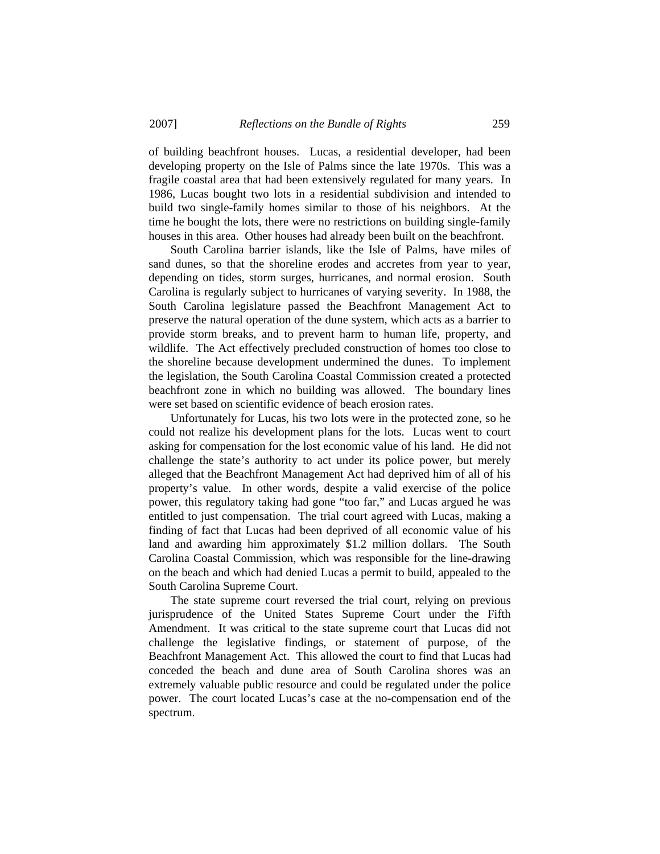of building beachfront houses. Lucas, a residential developer, had been developing property on the Isle of Palms since the late 1970s. This was a fragile coastal area that had been extensively regulated for many years. In 1986, Lucas bought two lots in a residential subdivision and intended to build two single-family homes similar to those of his neighbors. At the time he bought the lots, there were no restrictions on building single-family houses in this area. Other houses had already been built on the beachfront.

 South Carolina barrier islands, like the Isle of Palms, have miles of sand dunes, so that the shoreline erodes and accretes from year to year, depending on tides, storm surges, hurricanes, and normal erosion. South Carolina is regularly subject to hurricanes of varying severity. In 1988, the South Carolina legislature passed the Beachfront Management Act to preserve the natural operation of the dune system, which acts as a barrier to provide storm breaks, and to prevent harm to human life, property, and wildlife. The Act effectively precluded construction of homes too close to the shoreline because development undermined the dunes. To implement the legislation, the South Carolina Coastal Commission created a protected beachfront zone in which no building was allowed. The boundary lines were set based on scientific evidence of beach erosion rates.

 Unfortunately for Lucas, his two lots were in the protected zone, so he could not realize his development plans for the lots. Lucas went to court asking for compensation for the lost economic value of his land. He did not challenge the state's authority to act under its police power, but merely alleged that the Beachfront Management Act had deprived him of all of his property's value. In other words, despite a valid exercise of the police power, this regulatory taking had gone "too far," and Lucas argued he was entitled to just compensation. The trial court agreed with Lucas, making a finding of fact that Lucas had been deprived of all economic value of his land and awarding him approximately \$1.2 million dollars. The South Carolina Coastal Commission, which was responsible for the line-drawing on the beach and which had denied Lucas a permit to build, appealed to the South Carolina Supreme Court.

 The state supreme court reversed the trial court, relying on previous jurisprudence of the United States Supreme Court under the Fifth Amendment. It was critical to the state supreme court that Lucas did not challenge the legislative findings, or statement of purpose, of the Beachfront Management Act. This allowed the court to find that Lucas had conceded the beach and dune area of South Carolina shores was an extremely valuable public resource and could be regulated under the police power. The court located Lucas's case at the no-compensation end of the spectrum.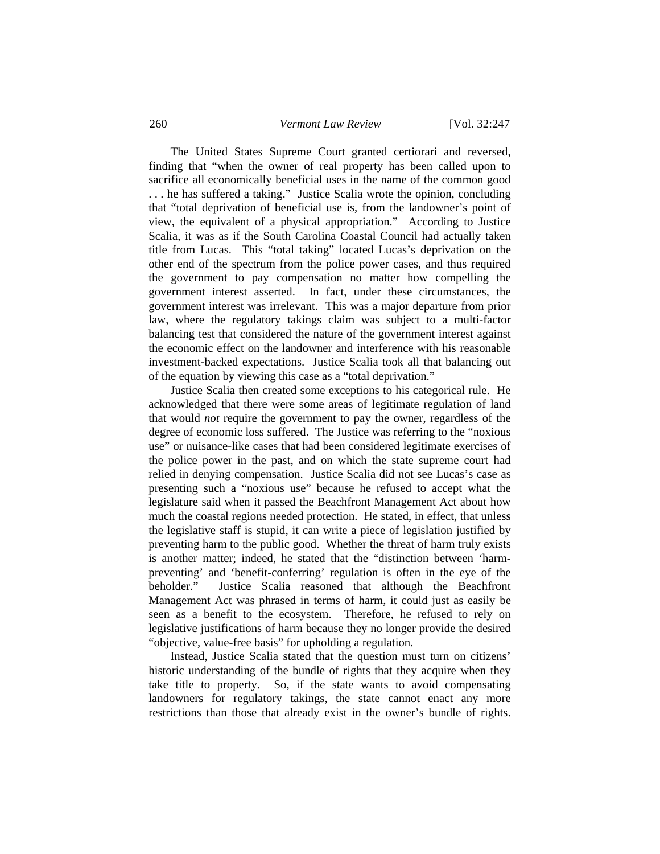The United States Supreme Court granted certiorari and reversed, finding that "when the owner of real property has been called upon to sacrifice all economically beneficial uses in the name of the common good . . . he has suffered a taking." Justice Scalia wrote the opinion, concluding that "total deprivation of beneficial use is, from the landowner's point of view, the equivalent of a physical appropriation." According to Justice Scalia, it was as if the South Carolina Coastal Council had actually taken title from Lucas. This "total taking" located Lucas's deprivation on the other end of the spectrum from the police power cases, and thus required the government to pay compensation no matter how compelling the government interest asserted. In fact, under these circumstances, the government interest was irrelevant. This was a major departure from prior law, where the regulatory takings claim was subject to a multi-factor balancing test that considered the nature of the government interest against the economic effect on the landowner and interference with his reasonable investment-backed expectations. Justice Scalia took all that balancing out of the equation by viewing this case as a "total deprivation."

 Justice Scalia then created some exceptions to his categorical rule. He acknowledged that there were some areas of legitimate regulation of land that would *not* require the government to pay the owner, regardless of the degree of economic loss suffered. The Justice was referring to the "noxious use" or nuisance-like cases that had been considered legitimate exercises of the police power in the past, and on which the state supreme court had relied in denying compensation. Justice Scalia did not see Lucas's case as presenting such a "noxious use" because he refused to accept what the legislature said when it passed the Beachfront Management Act about how much the coastal regions needed protection. He stated, in effect, that unless the legislative staff is stupid, it can write a piece of legislation justified by preventing harm to the public good. Whether the threat of harm truly exists is another matter; indeed, he stated that the "distinction between 'harmpreventing' and 'benefit-conferring' regulation is often in the eye of the beholder." Justice Scalia reasoned that although the Beachfront Management Act was phrased in terms of harm, it could just as easily be seen as a benefit to the ecosystem. Therefore, he refused to rely on legislative justifications of harm because they no longer provide the desired "objective, value-free basis" for upholding a regulation.

 Instead, Justice Scalia stated that the question must turn on citizens' historic understanding of the bundle of rights that they acquire when they take title to property. So, if the state wants to avoid compensating landowners for regulatory takings, the state cannot enact any more restrictions than those that already exist in the owner's bundle of rights.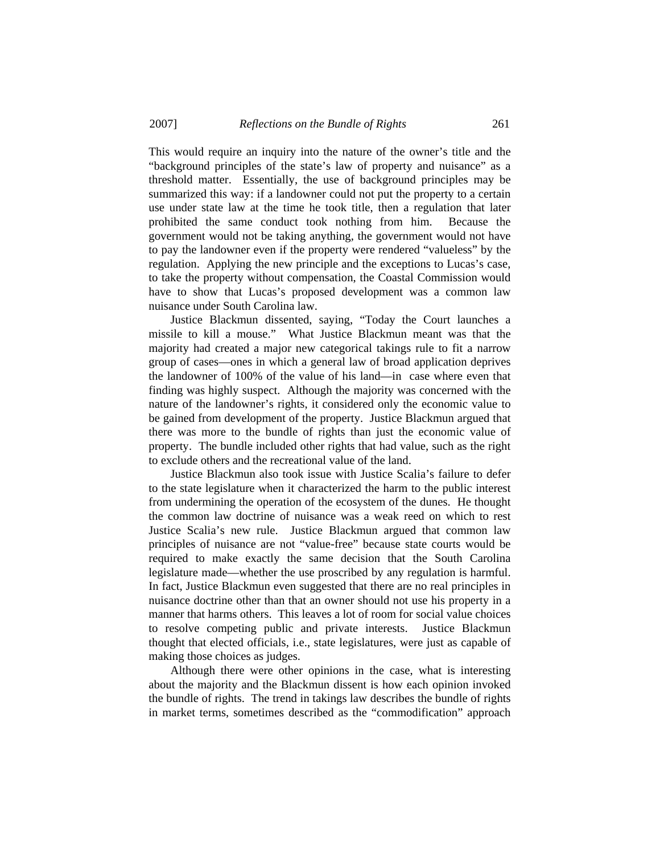This would require an inquiry into the nature of the owner's title and the "background principles of the state's law of property and nuisance" as a threshold matter. Essentially, the use of background principles may be summarized this way: if a landowner could not put the property to a certain use under state law at the time he took title, then a regulation that later prohibited the same conduct took nothing from him. Because the government would not be taking anything, the government would not have to pay the landowner even if the property were rendered "valueless" by the regulation. Applying the new principle and the exceptions to Lucas's case, to take the property without compensation, the Coastal Commission would have to show that Lucas's proposed development was a common law nuisance under South Carolina law.

 Justice Blackmun dissented, saying, "Today the Court launches a missile to kill a mouse." What Justice Blackmun meant was that the majority had created a major new categorical takings rule to fit a narrow group of cases—ones in which a general law of broad application deprives the landowner of 100% of the value of his land—in case where even that finding was highly suspect. Although the majority was concerned with the nature of the landowner's rights, it considered only the economic value to be gained from development of the property. Justice Blackmun argued that there was more to the bundle of rights than just the economic value of property. The bundle included other rights that had value, such as the right to exclude others and the recreational value of the land.

 Justice Blackmun also took issue with Justice Scalia's failure to defer to the state legislature when it characterized the harm to the public interest from undermining the operation of the ecosystem of the dunes. He thought the common law doctrine of nuisance was a weak reed on which to rest Justice Scalia's new rule. Justice Blackmun argued that common law principles of nuisance are not "value-free" because state courts would be required to make exactly the same decision that the South Carolina legislature made—whether the use proscribed by any regulation is harmful. In fact, Justice Blackmun even suggested that there are no real principles in nuisance doctrine other than that an owner should not use his property in a manner that harms others. This leaves a lot of room for social value choices to resolve competing public and private interests. Justice Blackmun thought that elected officials, i.e., state legislatures, were just as capable of making those choices as judges.

 Although there were other opinions in the case, what is interesting about the majority and the Blackmun dissent is how each opinion invoked the bundle of rights. The trend in takings law describes the bundle of rights in market terms, sometimes described as the "commodification" approach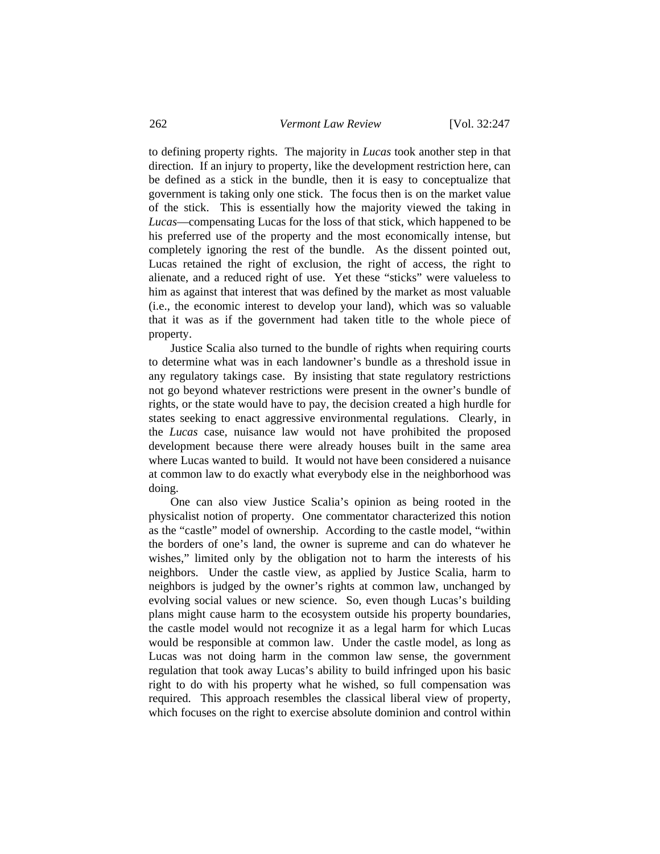to defining property rights. The majority in *Lucas* took another step in that direction. If an injury to property, like the development restriction here, can be defined as a stick in the bundle, then it is easy to conceptualize that government is taking only one stick. The focus then is on the market value of the stick. This is essentially how the majority viewed the taking in *Lucas*—compensating Lucas for the loss of that stick, which happened to be his preferred use of the property and the most economically intense, but completely ignoring the rest of the bundle. As the dissent pointed out, Lucas retained the right of exclusion, the right of access, the right to alienate, and a reduced right of use. Yet these "sticks" were valueless to him as against that interest that was defined by the market as most valuable (i.e., the economic interest to develop your land), which was so valuable that it was as if the government had taken title to the whole piece of property.

 Justice Scalia also turned to the bundle of rights when requiring courts to determine what was in each landowner's bundle as a threshold issue in any regulatory takings case. By insisting that state regulatory restrictions not go beyond whatever restrictions were present in the owner's bundle of rights, or the state would have to pay, the decision created a high hurdle for states seeking to enact aggressive environmental regulations. Clearly, in the *Lucas* case, nuisance law would not have prohibited the proposed development because there were already houses built in the same area where Lucas wanted to build. It would not have been considered a nuisance at common law to do exactly what everybody else in the neighborhood was doing.

 One can also view Justice Scalia's opinion as being rooted in the physicalist notion of property. One commentator characterized this notion as the "castle" model of ownership. According to the castle model, "within the borders of one's land, the owner is supreme and can do whatever he wishes," limited only by the obligation not to harm the interests of his neighbors. Under the castle view, as applied by Justice Scalia, harm to neighbors is judged by the owner's rights at common law, unchanged by evolving social values or new science. So, even though Lucas's building plans might cause harm to the ecosystem outside his property boundaries, the castle model would not recognize it as a legal harm for which Lucas would be responsible at common law. Under the castle model, as long as Lucas was not doing harm in the common law sense, the government regulation that took away Lucas's ability to build infringed upon his basic right to do with his property what he wished, so full compensation was required. This approach resembles the classical liberal view of property, which focuses on the right to exercise absolute dominion and control within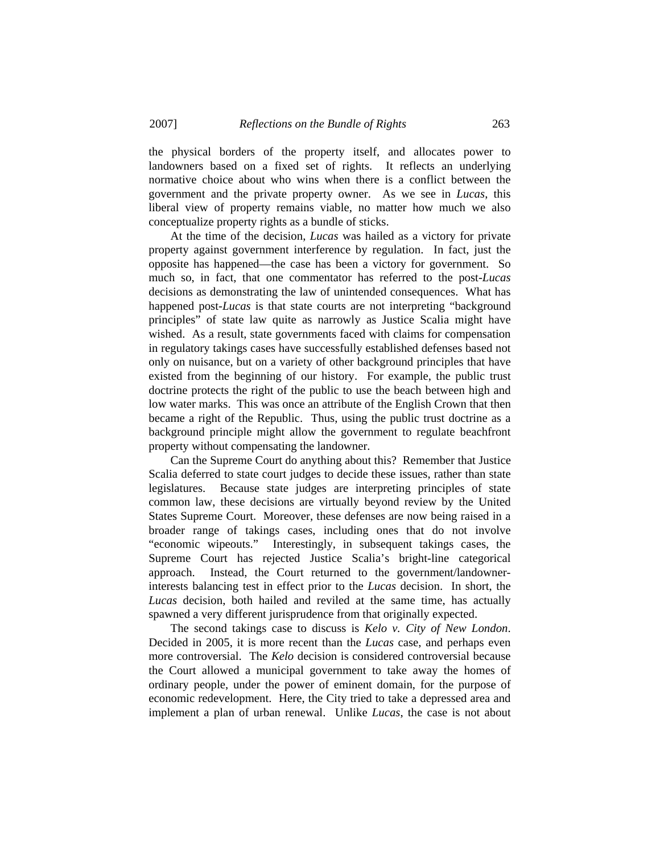the physical borders of the property itself, and allocates power to landowners based on a fixed set of rights. It reflects an underlying normative choice about who wins when there is a conflict between the government and the private property owner. As we see in *Lucas*, this liberal view of property remains viable, no matter how much we also conceptualize property rights as a bundle of sticks.

 At the time of the decision, *Lucas* was hailed as a victory for private property against government interference by regulation. In fact, just the opposite has happened—the case has been a victory for government. So much so, in fact, that one commentator has referred to the post-*Lucas* decisions as demonstrating the law of unintended consequences. What has happened post-*Lucas* is that state courts are not interpreting "background principles" of state law quite as narrowly as Justice Scalia might have wished. As a result, state governments faced with claims for compensation in regulatory takings cases have successfully established defenses based not only on nuisance, but on a variety of other background principles that have existed from the beginning of our history. For example, the public trust doctrine protects the right of the public to use the beach between high and low water marks. This was once an attribute of the English Crown that then became a right of the Republic. Thus, using the public trust doctrine as a background principle might allow the government to regulate beachfront property without compensating the landowner.

 Can the Supreme Court do anything about this? Remember that Justice Scalia deferred to state court judges to decide these issues, rather than state legislatures. Because state judges are interpreting principles of state common law, these decisions are virtually beyond review by the United States Supreme Court. Moreover, these defenses are now being raised in a broader range of takings cases, including ones that do not involve "economic wipeouts." Interestingly, in subsequent takings cases, the Supreme Court has rejected Justice Scalia's bright-line categorical approach. Instead, the Court returned to the government/landownerinterests balancing test in effect prior to the *Lucas* decision. In short, the *Lucas* decision, both hailed and reviled at the same time, has actually spawned a very different jurisprudence from that originally expected.

 The second takings case to discuss is *Kelo v. City of New London*. Decided in 2005, it is more recent than the *Lucas* case, and perhaps even more controversial. The *Kelo* decision is considered controversial because the Court allowed a municipal government to take away the homes of ordinary people, under the power of eminent domain, for the purpose of economic redevelopment. Here, the City tried to take a depressed area and implement a plan of urban renewal. Unlike *Lucas*, the case is not about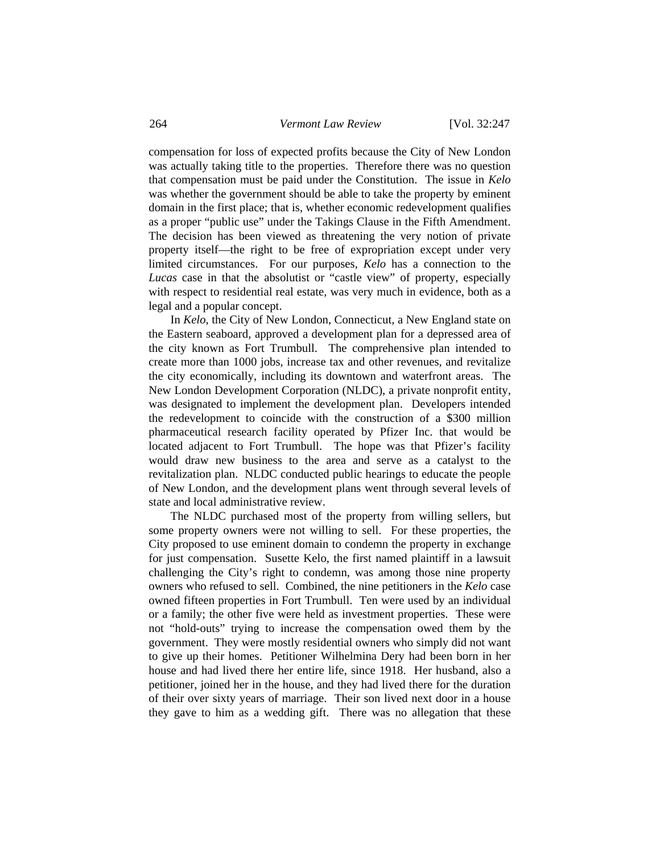compensation for loss of expected profits because the City of New London was actually taking title to the properties. Therefore there was no question that compensation must be paid under the Constitution. The issue in *Kelo* was whether the government should be able to take the property by eminent domain in the first place; that is, whether economic redevelopment qualifies as a proper "public use" under the Takings Clause in the Fifth Amendment. The decision has been viewed as threatening the very notion of private property itself—the right to be free of expropriation except under very limited circumstances. For our purposes, *Kelo* has a connection to the *Lucas* case in that the absolutist or "castle view" of property, especially with respect to residential real estate, was very much in evidence, both as a legal and a popular concept.

 In *Kelo*, the City of New London, Connecticut, a New England state on the Eastern seaboard, approved a development plan for a depressed area of the city known as Fort Trumbull. The comprehensive plan intended to create more than 1000 jobs, increase tax and other revenues, and revitalize the city economically, including its downtown and waterfront areas. The New London Development Corporation (NLDC), a private nonprofit entity, was designated to implement the development plan. Developers intended the redevelopment to coincide with the construction of a \$300 million pharmaceutical research facility operated by Pfizer Inc. that would be located adjacent to Fort Trumbull. The hope was that Pfizer's facility would draw new business to the area and serve as a catalyst to the revitalization plan. NLDC conducted public hearings to educate the people of New London, and the development plans went through several levels of state and local administrative review.

 The NLDC purchased most of the property from willing sellers, but some property owners were not willing to sell. For these properties, the City proposed to use eminent domain to condemn the property in exchange for just compensation. Susette Kelo, the first named plaintiff in a lawsuit challenging the City's right to condemn, was among those nine property owners who refused to sell. Combined, the nine petitioners in the *Kelo* case owned fifteen properties in Fort Trumbull. Ten were used by an individual or a family; the other five were held as investment properties. These were not "hold-outs" trying to increase the compensation owed them by the government. They were mostly residential owners who simply did not want to give up their homes. Petitioner Wilhelmina Dery had been born in her house and had lived there her entire life, since 1918. Her husband, also a petitioner, joined her in the house, and they had lived there for the duration of their over sixty years of marriage. Their son lived next door in a house they gave to him as a wedding gift. There was no allegation that these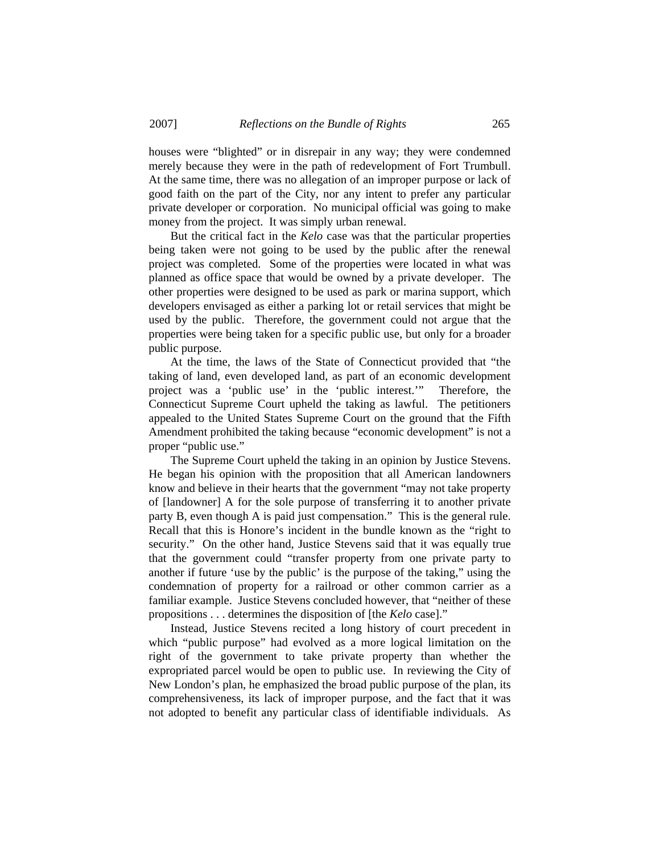houses were "blighted" or in disrepair in any way; they were condemned merely because they were in the path of redevelopment of Fort Trumbull. At the same time, there was no allegation of an improper purpose or lack of good faith on the part of the City, nor any intent to prefer any particular private developer or corporation. No municipal official was going to make money from the project. It was simply urban renewal.

 But the critical fact in the *Kelo* case was that the particular properties being taken were not going to be used by the public after the renewal project was completed. Some of the properties were located in what was planned as office space that would be owned by a private developer. The other properties were designed to be used as park or marina support, which developers envisaged as either a parking lot or retail services that might be used by the public. Therefore, the government could not argue that the properties were being taken for a specific public use, but only for a broader public purpose.

 At the time, the laws of the State of Connecticut provided that "the taking of land, even developed land, as part of an economic development project was a 'public use' in the 'public interest.'" Therefore, the Connecticut Supreme Court upheld the taking as lawful. The petitioners appealed to the United States Supreme Court on the ground that the Fifth Amendment prohibited the taking because "economic development" is not a proper "public use."

 The Supreme Court upheld the taking in an opinion by Justice Stevens. He began his opinion with the proposition that all American landowners know and believe in their hearts that the government "may not take property of [landowner] A for the sole purpose of transferring it to another private party B, even though A is paid just compensation." This is the general rule. Recall that this is Honore's incident in the bundle known as the "right to security." On the other hand, Justice Stevens said that it was equally true that the government could "transfer property from one private party to another if future 'use by the public' is the purpose of the taking," using the condemnation of property for a railroad or other common carrier as a familiar example. Justice Stevens concluded however, that "neither of these propositions . . . determines the disposition of [the *Kelo* case]."

 Instead, Justice Stevens recited a long history of court precedent in which "public purpose" had evolved as a more logical limitation on the right of the government to take private property than whether the expropriated parcel would be open to public use. In reviewing the City of New London's plan, he emphasized the broad public purpose of the plan, its comprehensiveness, its lack of improper purpose, and the fact that it was not adopted to benefit any particular class of identifiable individuals. As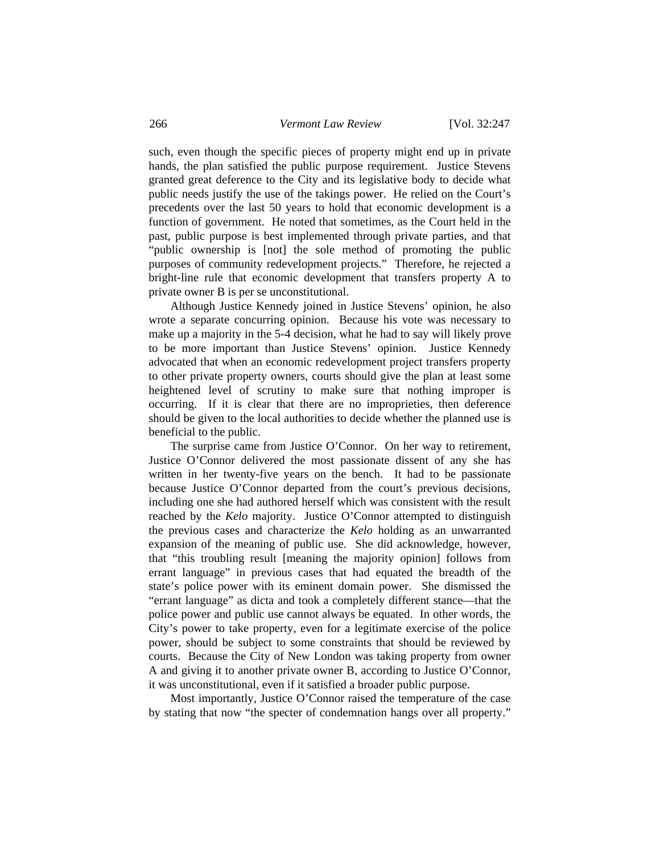such, even though the specific pieces of property might end up in private hands, the plan satisfied the public purpose requirement. Justice Stevens granted great deference to the City and its legislative body to decide what public needs justify the use of the takings power. He relied on the Court's precedents over the last 50 years to hold that economic development is a function of government. He noted that sometimes, as the Court held in the past, public purpose is best implemented through private parties, and that "public ownership is [not] the sole method of promoting the public purposes of community redevelopment projects." Therefore, he rejected a bright-line rule that economic development that transfers property A to private owner B is per se unconstitutional.

 Although Justice Kennedy joined in Justice Stevens' opinion, he also wrote a separate concurring opinion. Because his vote was necessary to make up a majority in the 5-4 decision, what he had to say will likely prove to be more important than Justice Stevens' opinion. Justice Kennedy advocated that when an economic redevelopment project transfers property to other private property owners, courts should give the plan at least some heightened level of scrutiny to make sure that nothing improper is occurring. If it is clear that there are no improprieties, then deference should be given to the local authorities to decide whether the planned use is beneficial to the public.

 The surprise came from Justice O'Connor. On her way to retirement, Justice O'Connor delivered the most passionate dissent of any she has written in her twenty-five years on the bench. It had to be passionate because Justice O'Connor departed from the court's previous decisions, including one she had authored herself which was consistent with the result reached by the *Kelo* majority. Justice O'Connor attempted to distinguish the previous cases and characterize the *Kelo* holding as an unwarranted expansion of the meaning of public use. She did acknowledge, however, that "this troubling result [meaning the majority opinion] follows from errant language" in previous cases that had equated the breadth of the state's police power with its eminent domain power. She dismissed the "errant language" as dicta and took a completely different stance—that the police power and public use cannot always be equated. In other words, the City's power to take property, even for a legitimate exercise of the police power, should be subject to some constraints that should be reviewed by courts. Because the City of New London was taking property from owner A and giving it to another private owner B, according to Justice O'Connor, it was unconstitutional, even if it satisfied a broader public purpose.

 Most importantly, Justice O'Connor raised the temperature of the case by stating that now "the specter of condemnation hangs over all property."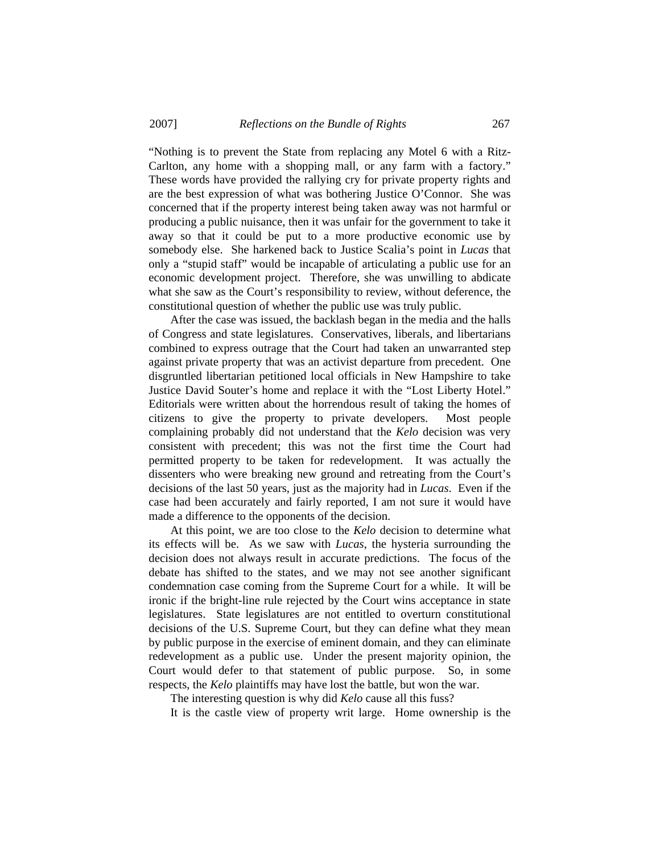"Nothing is to prevent the State from replacing any Motel 6 with a Ritz-Carlton, any home with a shopping mall, or any farm with a factory." These words have provided the rallying cry for private property rights and are the best expression of what was bothering Justice O'Connor. She was concerned that if the property interest being taken away was not harmful or producing a public nuisance, then it was unfair for the government to take it away so that it could be put to a more productive economic use by somebody else. She harkened back to Justice Scalia's point in *Lucas* that only a "stupid staff" would be incapable of articulating a public use for an economic development project. Therefore, she was unwilling to abdicate what she saw as the Court's responsibility to review, without deference, the constitutional question of whether the public use was truly public.

 After the case was issued, the backlash began in the media and the halls of Congress and state legislatures. Conservatives, liberals, and libertarians combined to express outrage that the Court had taken an unwarranted step against private property that was an activist departure from precedent. One disgruntled libertarian petitioned local officials in New Hampshire to take Justice David Souter's home and replace it with the "Lost Liberty Hotel." Editorials were written about the horrendous result of taking the homes of citizens to give the property to private developers. Most people complaining probably did not understand that the *Kelo* decision was very consistent with precedent; this was not the first time the Court had permitted property to be taken for redevelopment. It was actually the dissenters who were breaking new ground and retreating from the Court's decisions of the last 50 years, just as the majority had in *Lucas*. Even if the case had been accurately and fairly reported, I am not sure it would have made a difference to the opponents of the decision.

 At this point, we are too close to the *Kelo* decision to determine what its effects will be. As we saw with *Lucas*, the hysteria surrounding the decision does not always result in accurate predictions. The focus of the debate has shifted to the states, and we may not see another significant condemnation case coming from the Supreme Court for a while. It will be ironic if the bright-line rule rejected by the Court wins acceptance in state legislatures. State legislatures are not entitled to overturn constitutional decisions of the U.S. Supreme Court, but they can define what they mean by public purpose in the exercise of eminent domain, and they can eliminate redevelopment as a public use. Under the present majority opinion, the Court would defer to that statement of public purpose. So, in some respects, the *Kelo* plaintiffs may have lost the battle, but won the war.

The interesting question is why did *Kelo* cause all this fuss?

It is the castle view of property writ large. Home ownership is the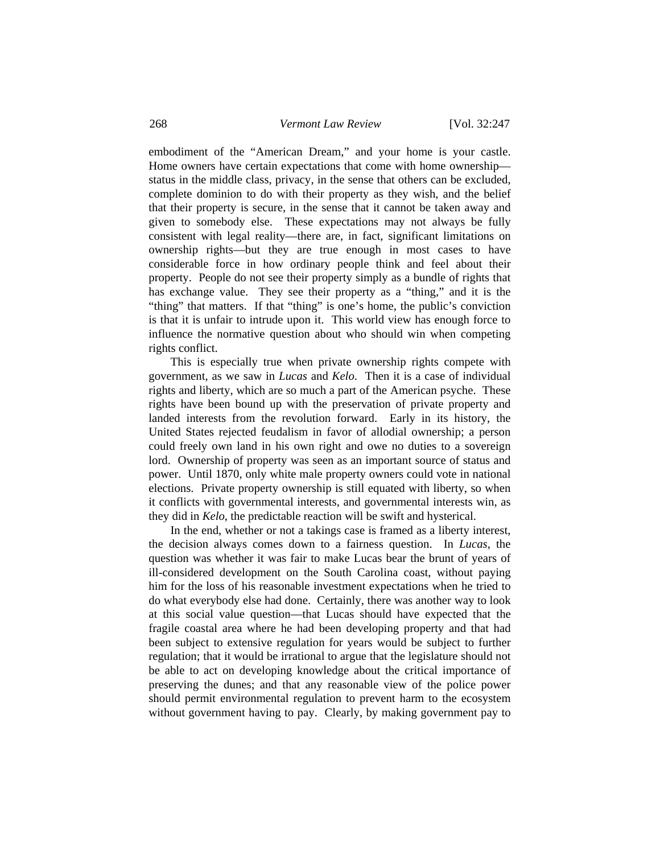embodiment of the "American Dream," and your home is your castle. Home owners have certain expectations that come with home ownership status in the middle class, privacy, in the sense that others can be excluded, complete dominion to do with their property as they wish, and the belief that their property is secure, in the sense that it cannot be taken away and given to somebody else. These expectations may not always be fully consistent with legal reality—there are, in fact, significant limitations on ownership rights—but they are true enough in most cases to have considerable force in how ordinary people think and feel about their property. People do not see their property simply as a bundle of rights that has exchange value. They see their property as a "thing," and it is the "thing" that matters. If that "thing" is one's home, the public's conviction is that it is unfair to intrude upon it. This world view has enough force to influence the normative question about who should win when competing rights conflict.

 This is especially true when private ownership rights compete with government, as we saw in *Lucas* and *Kelo*. Then it is a case of individual rights and liberty, which are so much a part of the American psyche. These rights have been bound up with the preservation of private property and landed interests from the revolution forward. Early in its history, the United States rejected feudalism in favor of allodial ownership; a person could freely own land in his own right and owe no duties to a sovereign lord. Ownership of property was seen as an important source of status and power. Until 1870, only white male property owners could vote in national elections. Private property ownership is still equated with liberty, so when it conflicts with governmental interests, and governmental interests win, as they did in *Kelo*, the predictable reaction will be swift and hysterical.

 In the end, whether or not a takings case is framed as a liberty interest, the decision always comes down to a fairness question. In *Lucas*, the question was whether it was fair to make Lucas bear the brunt of years of ill-considered development on the South Carolina coast, without paying him for the loss of his reasonable investment expectations when he tried to do what everybody else had done. Certainly, there was another way to look at this social value question—that Lucas should have expected that the fragile coastal area where he had been developing property and that had been subject to extensive regulation for years would be subject to further regulation; that it would be irrational to argue that the legislature should not be able to act on developing knowledge about the critical importance of preserving the dunes; and that any reasonable view of the police power should permit environmental regulation to prevent harm to the ecosystem without government having to pay. Clearly, by making government pay to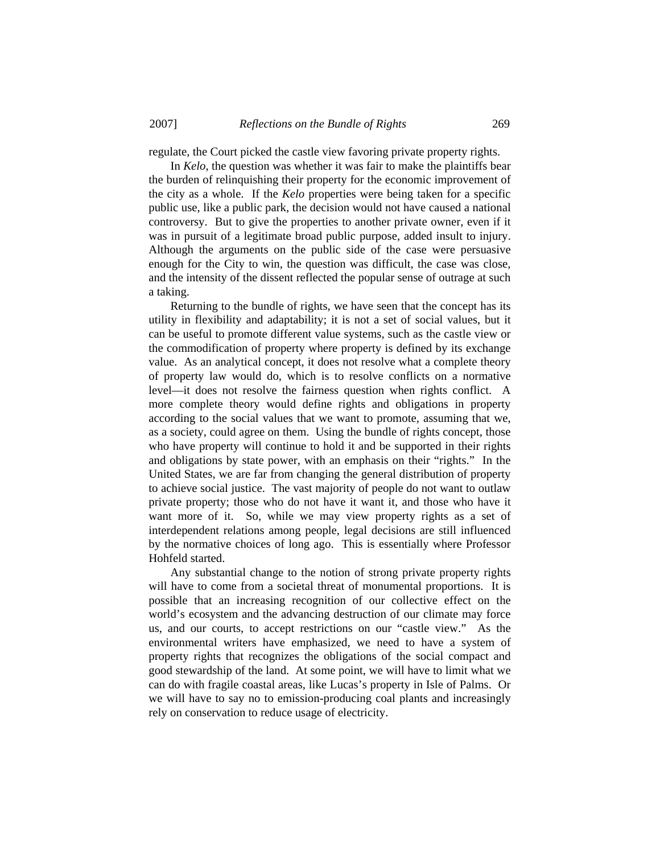regulate, the Court picked the castle view favoring private property rights.

 In *Kelo*, the question was whether it was fair to make the plaintiffs bear the burden of relinquishing their property for the economic improvement of the city as a whole. If the *Kelo* properties were being taken for a specific public use, like a public park, the decision would not have caused a national controversy. But to give the properties to another private owner, even if it was in pursuit of a legitimate broad public purpose, added insult to injury. Although the arguments on the public side of the case were persuasive enough for the City to win, the question was difficult, the case was close, and the intensity of the dissent reflected the popular sense of outrage at such a taking.

 Returning to the bundle of rights, we have seen that the concept has its utility in flexibility and adaptability; it is not a set of social values, but it can be useful to promote different value systems, such as the castle view or the commodification of property where property is defined by its exchange value. As an analytical concept, it does not resolve what a complete theory of property law would do, which is to resolve conflicts on a normative level—it does not resolve the fairness question when rights conflict. A more complete theory would define rights and obligations in property according to the social values that we want to promote, assuming that we, as a society, could agree on them. Using the bundle of rights concept, those who have property will continue to hold it and be supported in their rights and obligations by state power, with an emphasis on their "rights." In the United States, we are far from changing the general distribution of property to achieve social justice. The vast majority of people do not want to outlaw private property; those who do not have it want it, and those who have it want more of it. So, while we may view property rights as a set of interdependent relations among people, legal decisions are still influenced by the normative choices of long ago. This is essentially where Professor Hohfeld started.

 Any substantial change to the notion of strong private property rights will have to come from a societal threat of monumental proportions. It is possible that an increasing recognition of our collective effect on the world's ecosystem and the advancing destruction of our climate may force us, and our courts, to accept restrictions on our "castle view." As the environmental writers have emphasized, we need to have a system of property rights that recognizes the obligations of the social compact and good stewardship of the land. At some point, we will have to limit what we can do with fragile coastal areas, like Lucas's property in Isle of Palms. Or we will have to say no to emission-producing coal plants and increasingly rely on conservation to reduce usage of electricity.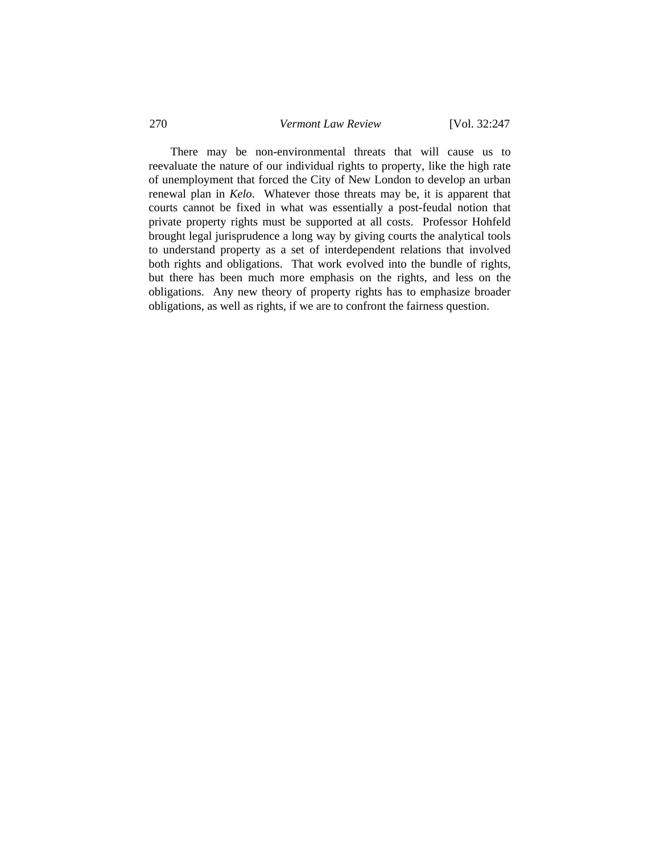There may be non-environmental threats that will cause us to reevaluate the nature of our individual rights to property, like the high rate of unemployment that forced the City of New London to develop an urban renewal plan in *Kelo*. Whatever those threats may be, it is apparent that courts cannot be fixed in what was essentially a post-feudal notion that private property rights must be supported at all costs. Professor Hohfeld brought legal jurisprudence a long way by giving courts the analytical tools to understand property as a set of interdependent relations that involved both rights and obligations. That work evolved into the bundle of rights, but there has been much more emphasis on the rights, and less on the obligations. Any new theory of property rights has to emphasize broader obligations, as well as rights, if we are to confront the fairness question.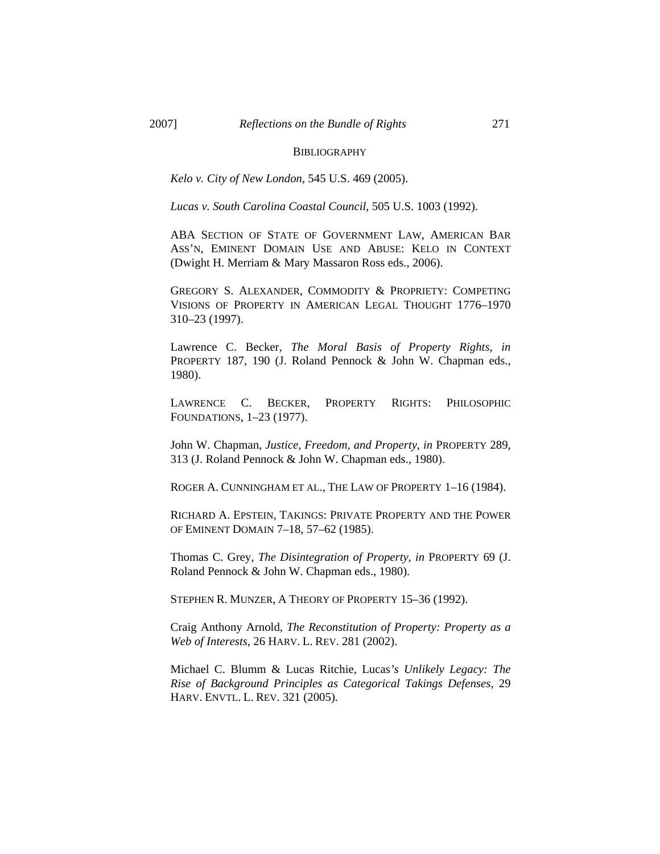## **BIBLIOGRAPHY**

*Kelo v. City of New London*, 545 U.S. 469 (2005).

*Lucas v. South Carolina Coastal Council*, 505 U.S. 1003 (1992).

ABA SECTION OF STATE OF GOVERNMENT LAW, AMERICAN BAR ASS'N, EMINENT DOMAIN USE AND ABUSE: KELO IN CONTEXT (Dwight H. Merriam & Mary Massaron Ross eds., 2006).

GREGORY S. ALEXANDER, COMMODITY & PROPRIETY: COMPETING VISIONS OF PROPERTY IN AMERICAN LEGAL THOUGHT 1776–1970 310–23 (1997).

Lawrence C. Becker, *The Moral Basis of Property Rights*, *in* PROPERTY 187, 190 (J. Roland Pennock & John W. Chapman eds., 1980).

LAWRENCE C. BECKER, PROPERTY RIGHTS: PHILOSOPHIC FOUNDATIONS, 1–23 (1977).

John W. Chapman, *Justice, Freedom, and Property*, *in* PROPERTY 289, 313 (J. Roland Pennock & John W. Chapman eds., 1980).

ROGER A. CUNNINGHAM ET AL., THE LAW OF PROPERTY 1–16 (1984).

RICHARD A. EPSTEIN, TAKINGS: PRIVATE PROPERTY AND THE POWER OF EMINENT DOMAIN 7–18, 57–62 (1985).

Thomas C. Grey, *The Disintegration of Property*, *in* PROPERTY 69 (J. Roland Pennock & John W. Chapman eds., 1980).

STEPHEN R. MUNZER, A THEORY OF PROPERTY 15–36 (1992).

Craig Anthony Arnold, *The Reconstitution of Property: Property as a Web of Interests*, 26 HARV. L. REV. 281 (2002).

Michael C. Blumm & Lucas Ritchie, Lucas*'s Unlikely Legacy: The Rise of Background Principles as Categorical Takings Defenses*, 29 HARV. ENVTL. L. REV. 321 (2005).